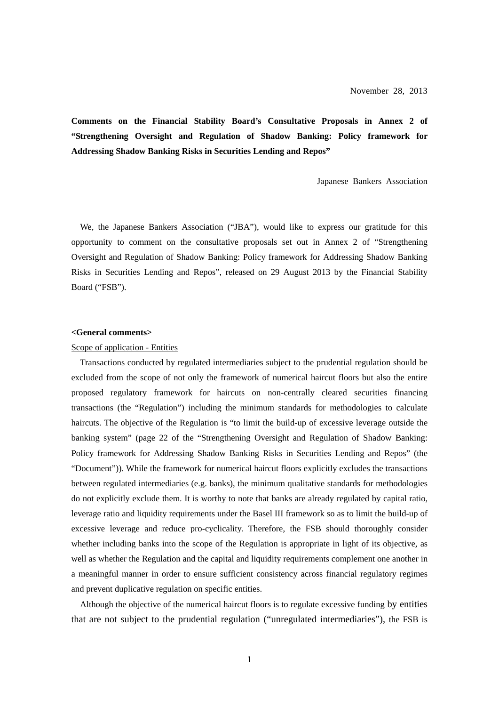**Comments on the Financial Stability Board's Consultative Proposals in Annex 2 of "Strengthening Oversight and Regulation of Shadow Banking: Policy framework for Addressing Shadow Banking Risks in Securities Lending and Repos"** 

Japanese Bankers Association

We, the Japanese Bankers Association ("JBA"), would like to express our gratitude for this opportunity to comment on the consultative proposals set out in Annex 2 of "Strengthening Oversight and Regulation of Shadow Banking: Policy framework for Addressing Shadow Banking Risks in Securities Lending and Repos", released on 29 August 2013 by the Financial Stability Board ("FSB").

### **<General comments>**

### Scope of application - Entities

Transactions conducted by regulated intermediaries subject to the prudential regulation should be excluded from the scope of not only the framework of numerical haircut floors but also the entire proposed regulatory framework for haircuts on non-centrally cleared securities financing transactions (the "Regulation") including the minimum standards for methodologies to calculate haircuts. The objective of the Regulation is "to limit the build-up of excessive leverage outside the banking system" (page 22 of the "Strengthening Oversight and Regulation of Shadow Banking: Policy framework for Addressing Shadow Banking Risks in Securities Lending and Repos" (the "Document")). While the framework for numerical haircut floors explicitly excludes the transactions between regulated intermediaries (e.g. banks), the minimum qualitative standards for methodologies do not explicitly exclude them. It is worthy to note that banks are already regulated by capital ratio, leverage ratio and liquidity requirements under the Basel III framework so as to limit the build-up of excessive leverage and reduce pro-cyclicality. Therefore, the FSB should thoroughly consider whether including banks into the scope of the Regulation is appropriate in light of its objective, as well as whether the Regulation and the capital and liquidity requirements complement one another in a meaningful manner in order to ensure sufficient consistency across financial regulatory regimes and prevent duplicative regulation on specific entities.

Although the objective of the numerical haircut floors is to regulate excessive funding by entities that are not subject to the prudential regulation ("unregulated intermediaries"), the FSB is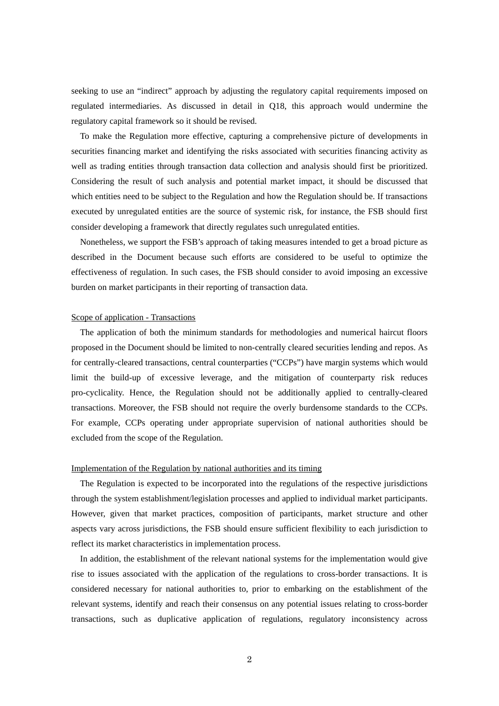seeking to use an "indirect" approach by adjusting the regulatory capital requirements imposed on regulated intermediaries. As discussed in detail in Q18, this approach would undermine the regulatory capital framework so it should be revised.

To make the Regulation more effective, capturing a comprehensive picture of developments in securities financing market and identifying the risks associated with securities financing activity as well as trading entities through transaction data collection and analysis should first be prioritized. Considering the result of such analysis and potential market impact, it should be discussed that which entities need to be subject to the Regulation and how the Regulation should be. If transactions executed by unregulated entities are the source of systemic risk, for instance, the FSB should first consider developing a framework that directly regulates such unregulated entities.

Nonetheless, we support the FSB's approach of taking measures intended to get a broad picture as described in the Document because such efforts are considered to be useful to optimize the effectiveness of regulation. In such cases, the FSB should consider to avoid imposing an excessive burden on market participants in their reporting of transaction data.

### Scope of application - Transactions

The application of both the minimum standards for methodologies and numerical haircut floors proposed in the Document should be limited to non-centrally cleared securities lending and repos. As for centrally-cleared transactions, central counterparties ("CCPs") have margin systems which would limit the build-up of excessive leverage, and the mitigation of counterparty risk reduces pro-cyclicality. Hence, the Regulation should not be additionally applied to centrally-cleared transactions. Moreover, the FSB should not require the overly burdensome standards to the CCPs. For example, CCPs operating under appropriate supervision of national authorities should be excluded from the scope of the Regulation.

### Implementation of the Regulation by national authorities and its timing

The Regulation is expected to be incorporated into the regulations of the respective jurisdictions through the system establishment/legislation processes and applied to individual market participants. However, given that market practices, composition of participants, market structure and other aspects vary across jurisdictions, the FSB should ensure sufficient flexibility to each jurisdiction to reflect its market characteristics in implementation process.

In addition, the establishment of the relevant national systems for the implementation would give rise to issues associated with the application of the regulations to cross-border transactions. It is considered necessary for national authorities to, prior to embarking on the establishment of the relevant systems, identify and reach their consensus on any potential issues relating to cross-border transactions, such as duplicative application of regulations, regulatory inconsistency across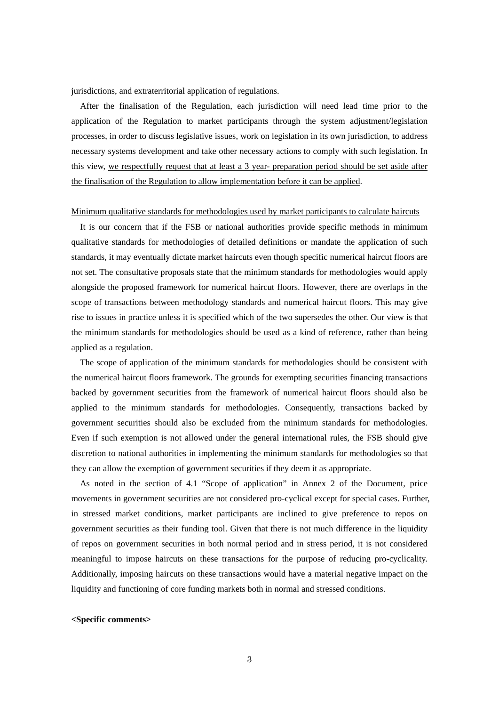jurisdictions, and extraterritorial application of regulations.

After the finalisation of the Regulation, each jurisdiction will need lead time prior to the application of the Regulation to market participants through the system adjustment/legislation processes, in order to discuss legislative issues, work on legislation in its own jurisdiction, to address necessary systems development and take other necessary actions to comply with such legislation. In this view, we respectfully request that at least a 3 year- preparation period should be set aside after the finalisation of the Regulation to allow implementation before it can be applied.

#### Minimum qualitative standards for methodologies used by market participants to calculate haircuts

It is our concern that if the FSB or national authorities provide specific methods in minimum qualitative standards for methodologies of detailed definitions or mandate the application of such standards, it may eventually dictate market haircuts even though specific numerical haircut floors are not set. The consultative proposals state that the minimum standards for methodologies would apply alongside the proposed framework for numerical haircut floors. However, there are overlaps in the scope of transactions between methodology standards and numerical haircut floors. This may give rise to issues in practice unless it is specified which of the two supersedes the other. Our view is that the minimum standards for methodologies should be used as a kind of reference, rather than being applied as a regulation.

The scope of application of the minimum standards for methodologies should be consistent with the numerical haircut floors framework. The grounds for exempting securities financing transactions backed by government securities from the framework of numerical haircut floors should also be applied to the minimum standards for methodologies. Consequently, transactions backed by government securities should also be excluded from the minimum standards for methodologies. Even if such exemption is not allowed under the general international rules, the FSB should give discretion to national authorities in implementing the minimum standards for methodologies so that they can allow the exemption of government securities if they deem it as appropriate.

As noted in the section of 4.1 "Scope of application" in Annex 2 of the Document, price movements in government securities are not considered pro-cyclical except for special cases. Further, in stressed market conditions, market participants are inclined to give preference to repos on government securities as their funding tool. Given that there is not much difference in the liquidity of repos on government securities in both normal period and in stress period, it is not considered meaningful to impose haircuts on these transactions for the purpose of reducing pro-cyclicality. Additionally, imposing haircuts on these transactions would have a material negative impact on the liquidity and functioning of core funding markets both in normal and stressed conditions.

### **<Specific comments>**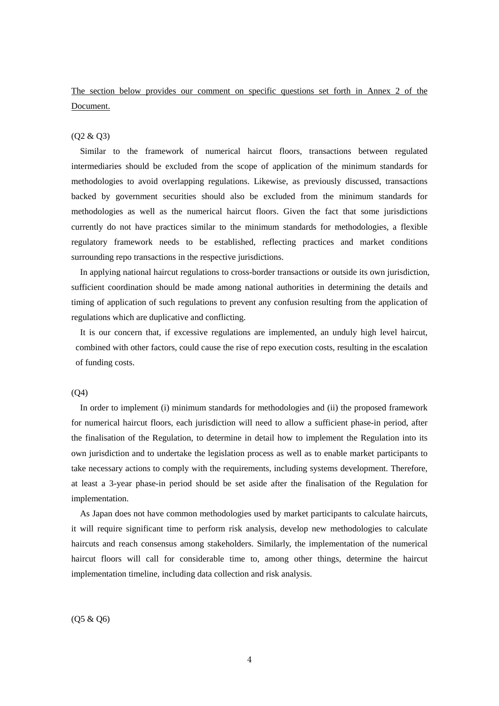The section below provides our comment on specific questions set forth in Annex 2 of the Document.

# (Q2 & Q3)

Similar to the framework of numerical haircut floors, transactions between regulated intermediaries should be excluded from the scope of application of the minimum standards for methodologies to avoid overlapping regulations. Likewise, as previously discussed, transactions backed by government securities should also be excluded from the minimum standards for methodologies as well as the numerical haircut floors. Given the fact that some jurisdictions currently do not have practices similar to the minimum standards for methodologies, a flexible regulatory framework needs to be established, reflecting practices and market conditions surrounding repo transactions in the respective jurisdictions.

In applying national haircut regulations to cross-border transactions or outside its own jurisdiction, sufficient coordination should be made among national authorities in determining the details and timing of application of such regulations to prevent any confusion resulting from the application of regulations which are duplicative and conflicting.

It is our concern that, if excessive regulations are implemented, an unduly high level haircut, combined with other factors, could cause the rise of repo execution costs, resulting in the escalation of funding costs.

#### $(O4)$

In order to implement (i) minimum standards for methodologies and (ii) the proposed framework for numerical haircut floors, each jurisdiction will need to allow a sufficient phase-in period, after the finalisation of the Regulation, to determine in detail how to implement the Regulation into its own jurisdiction and to undertake the legislation process as well as to enable market participants to take necessary actions to comply with the requirements, including systems development. Therefore, at least a 3-year phase-in period should be set aside after the finalisation of the Regulation for implementation.

As Japan does not have common methodologies used by market participants to calculate haircuts, it will require significant time to perform risk analysis, develop new methodologies to calculate haircuts and reach consensus among stakeholders. Similarly, the implementation of the numerical haircut floors will call for considerable time to, among other things, determine the haircut implementation timeline, including data collection and risk analysis.

(Q5 & Q6)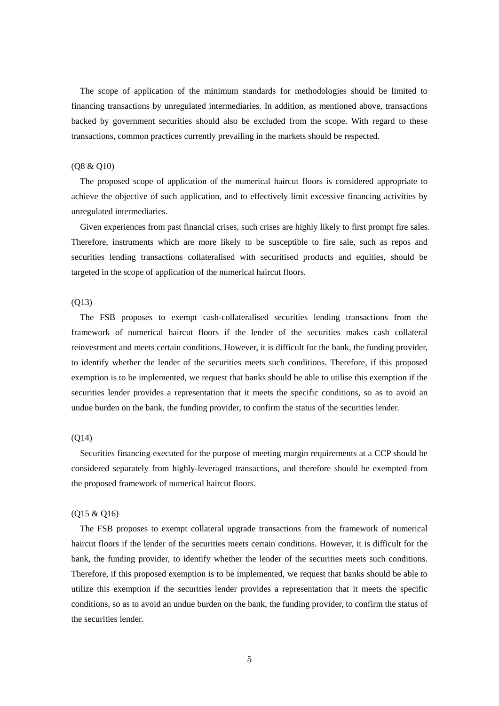The scope of application of the minimum standards for methodologies should be limited to financing transactions by unregulated intermediaries. In addition, as mentioned above, transactions backed by government securities should also be excluded from the scope. With regard to these transactions, common practices currently prevailing in the markets should be respected.

## (Q8 & Q10)

The proposed scope of application of the numerical haircut floors is considered appropriate to achieve the objective of such application, and to effectively limit excessive financing activities by unregulated intermediaries.

Given experiences from past financial crises, such crises are highly likely to first prompt fire sales. Therefore, instruments which are more likely to be susceptible to fire sale, such as repos and securities lending transactions collateralised with securitised products and equities, should be targeted in the scope of application of the numerical haircut floors.

### (Q13)

The FSB proposes to exempt cash-collateralised securities lending transactions from the framework of numerical haircut floors if the lender of the securities makes cash collateral reinvestment and meets certain conditions. However, it is difficult for the bank, the funding provider, to identify whether the lender of the securities meets such conditions. Therefore, if this proposed exemption is to be implemented, we request that banks should be able to utilise this exemption if the securities lender provides a representation that it meets the specific conditions, so as to avoid an undue burden on the bank, the funding provider, to confirm the status of the securities lender.

# $(O14)$

Securities financing executed for the purpose of meeting margin requirements at a CCP should be considered separately from highly-leveraged transactions, and therefore should be exempted from the proposed framework of numerical haircut floors.

## (Q15 & Q16)

The FSB proposes to exempt collateral upgrade transactions from the framework of numerical haircut floors if the lender of the securities meets certain conditions. However, it is difficult for the bank, the funding provider, to identify whether the lender of the securities meets such conditions. Therefore, if this proposed exemption is to be implemented, we request that banks should be able to utilize this exemption if the securities lender provides a representation that it meets the specific conditions, so as to avoid an undue burden on the bank, the funding provider, to confirm the status of the securities lender.